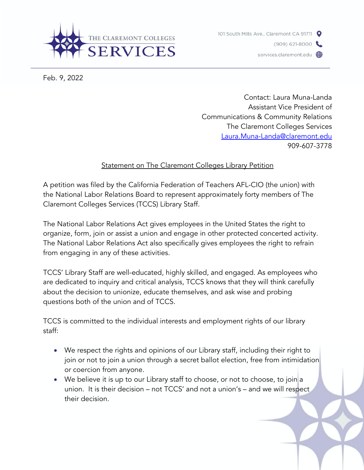



Feb. 9, 2022

Contact: Laura Muna-Landa Assistant Vice President of Communications & Community Relations The Claremont Colleges Services Laura.Muna-Landa@claremont.edu 909-607-3778

## Statement on The Claremont Colleges Library Petition

A petition was filed by the California Federation of Teachers AFL-CIO (the union) with the National Labor Relations Board to represent approximately forty members of The Claremont Colleges Services (TCCS) Library Staff.

The National Labor Relations Act gives employees in the United States the right to organize, form, join or assist a union and engage in other protected concerted activity. The National Labor Relations Act also specifically gives employees the right to refrain from engaging in any of these activities.

TCCS' Library Staff are well-educated, highly skilled, and engaged. As employees who are dedicated to inquiry and critical analysis, TCCS knows that they will think carefully about the decision to unionize, educate themselves, and ask wise and probing questions both of the union and of TCCS.

TCCS is committed to the individual interests and employment rights of our library staff:

- We respect the rights and opinions of our Library staff, including their right to join or not to join a union through a secret ballot election, free from intimidation or coercion from anyone.
- We believe it is up to our Library staff to choose, or not to choose, to join a union. It is their decision – not TCCS' and not a union's – and we will respect their decision.